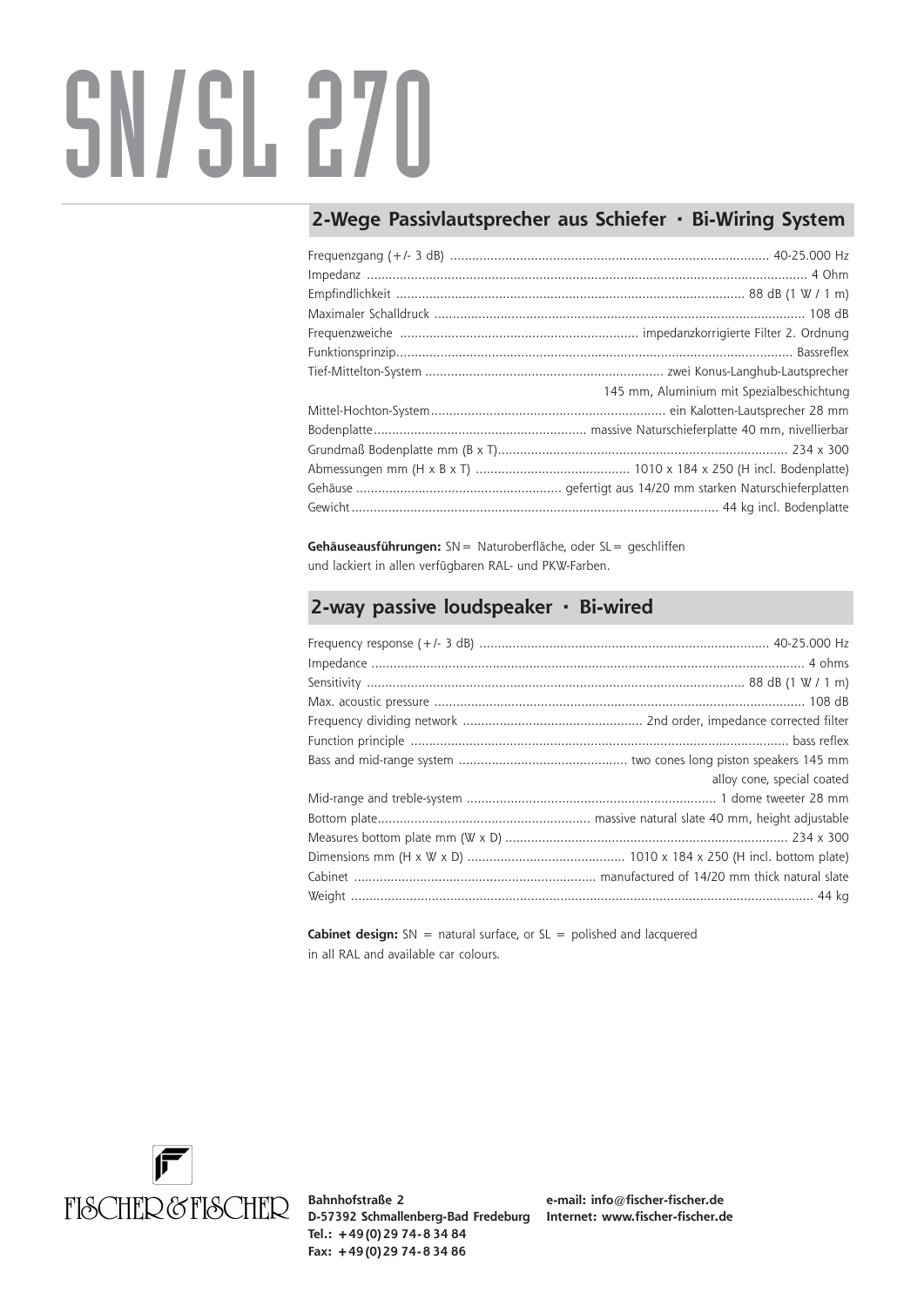## SN/SL 270

## **2-Wege Passivlautsprecher aus Schiefer · Bi-Wiring System**

| 145 mm, Aluminium mit Spezialbeschichtung |
|-------------------------------------------|
|                                           |
|                                           |
|                                           |
|                                           |
|                                           |
|                                           |

**Gehäuseausführungen:** SN= Naturoberfläche, oder SL= geschliffen und lackiert in allen verfügbaren RAL- und PKW-Farben.

## **2-way passive loudspeaker · Bi-wired**

| alloy cone, special coated |
|----------------------------|
|                            |
|                            |
|                            |
|                            |
|                            |
|                            |
|                            |

**Cabinet design:** SN = natural surface, or SL = polished and lacquered in all RAL and available car colours.



**Bahnhofstraße 2 D-57392 Schmallenberg-Bad Fredeburg Internet: www.fischer-fischer.de Tel.: +49 (0) 29 74- 8 34 84 Fax: +49 (0) 29 74- 8 34 86**

**e-mail: info@fischer-fischer.de**